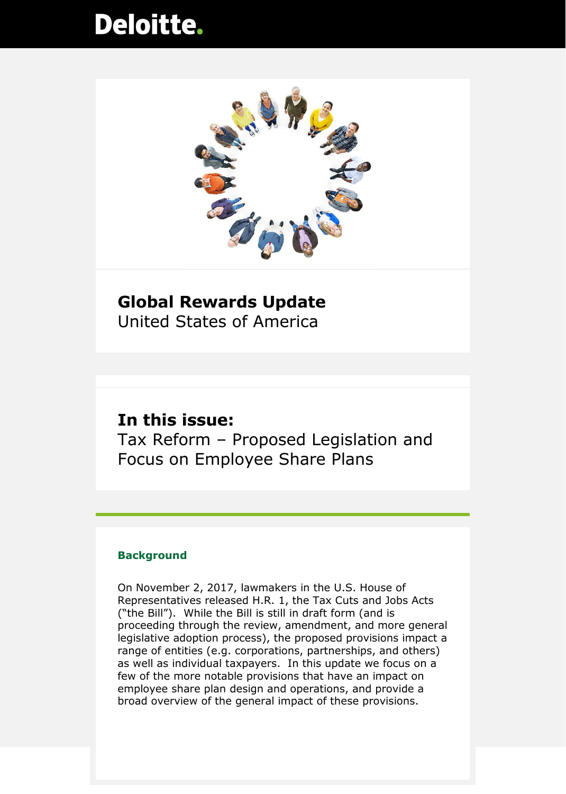# **Deloitte.**



### **Global Rewards Update** United States of America

### **In this issue:**

Tax Reform – Proposed Legislation and Focus on Employee Share Plans

### **Background**

On November 2, 2017, lawmakers in the U.S. House of Representatives released H.R. 1, the Tax Cuts and Jobs Acts ("the Bill"). While the Bill is still in draft form (and is proceeding through the review, amendment, and more general legislative adoption process), the proposed provisions impact a range of entities (e.g. corporations, partnerships, and others) as well as individual taxpayers. In this update we focus on a few of the more notable provisions that have an impact on employee share plan design and operations, and provide a broad overview of the general impact of these provisions.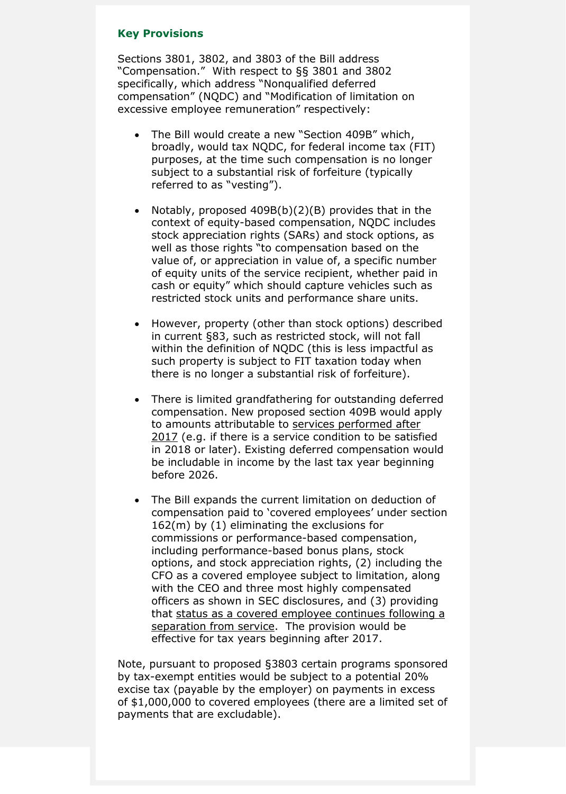#### **Key Provisions**

Sections 3801, 3802, and 3803 of the Bill address "Compensation." With respect to §§ 3801 and 3802 specifically, which address "Nonqualified deferred compensation" (NQDC) and "Modification of limitation on excessive employee remuneration" respectively:

- The Bill would create a new "Section 409B" which, broadly, would tax NQDC, for federal income tax (FIT) purposes, at the time such compensation is no longer subject to a substantial risk of forfeiture (typically referred to as "vesting").
- Notably, proposed 409B(b)(2)(B) provides that in the context of equity-based compensation, NQDC includes stock appreciation rights (SARs) and stock options, as well as those rights "to compensation based on the value of, or appreciation in value of, a specific number of equity units of the service recipient, whether paid in cash or equity" which should capture vehicles such as restricted stock units and performance share units.
- However, property (other than stock options) described in current §83, such as restricted stock, will not fall within the definition of NQDC (this is less impactful as such property is subject to FIT taxation today when there is no longer a substantial risk of forfeiture).
- There is limited grandfathering for outstanding deferred compensation. New proposed section 409B would apply to amounts attributable to services performed after 2017 (e.g. if there is a service condition to be satisfied in 2018 or later). Existing deferred compensation would be includable in income by the last tax year beginning before 2026.
- The Bill expands the current limitation on deduction of compensation paid to 'covered employees' under section 162(m) by (1) eliminating the exclusions for commissions or performance-based compensation, including performance-based bonus plans, stock options, and stock appreciation rights, (2) including the CFO as a covered employee subject to limitation, along with the CEO and three most highly compensated officers as shown in SEC disclosures, and (3) providing that status as a covered employee continues following a separation from service. The provision would be effective for tax years beginning after 2017.

Note, pursuant to proposed §3803 certain programs sponsored by tax-exempt entities would be subject to a potential 20% excise tax (payable by the employer) on payments in excess of \$1,000,000 to covered employees (there are a limited set of payments that are excludable).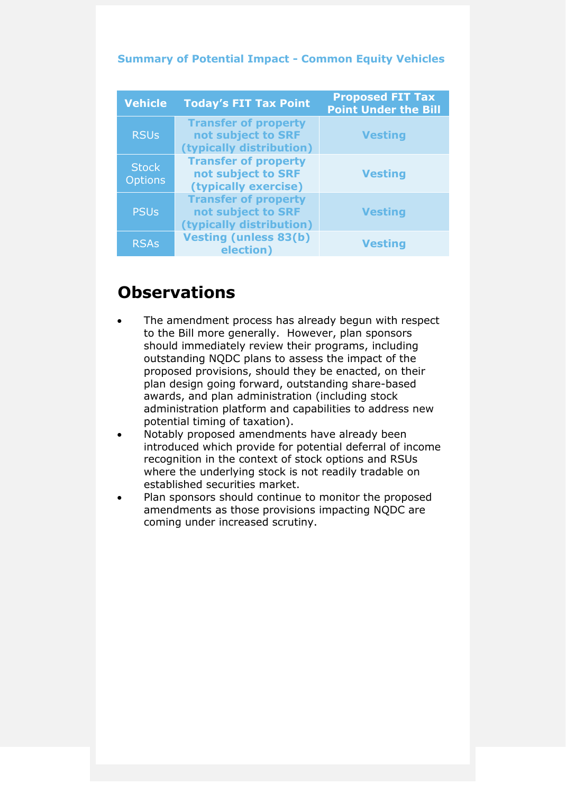| <b>Vehicle</b>                 | <b>Today's FIT Tax Point</b>                                                  | <b>Proposed FIT Tax</b><br><b>Point Under the Bill</b> |
|--------------------------------|-------------------------------------------------------------------------------|--------------------------------------------------------|
| <b>RSUs</b>                    | <b>Transfer of property</b><br>not subject to SRF<br>(typically distribution) | <b>Vesting</b>                                         |
| <b>Stock</b><br><b>Options</b> | <b>Transfer of property</b><br>not subject to SRF<br>(typically exercise)     | <b>Vesting</b>                                         |
| <b>PSUs</b>                    | <b>Transfer of property</b><br>not subject to SRF<br>(typically distribution) | <b>Vesting</b>                                         |
| <b>RSAs</b>                    | <b>Vesting (unless 83(b)</b><br>election)                                     | <b>Vesting</b>                                         |

### **Summary of Potential Impact - Common Equity Vehicles**

# **Observations**

- The amendment process has already begun with respect to the Bill more generally. However, plan sponsors should immediately review their programs, including outstanding NQDC plans to assess the impact of the proposed provisions, should they be enacted, on their plan design going forward, outstanding share-based awards, and plan administration (including stock administration platform and capabilities to address new potential timing of taxation).
- Notably proposed amendments have already been introduced which provide for potential deferral of income recognition in the context of stock options and RSUs where the underlying stock is not readily tradable on established securities market.
- Plan sponsors should continue to monitor the proposed amendments as those provisions impacting NQDC are coming under increased scrutiny.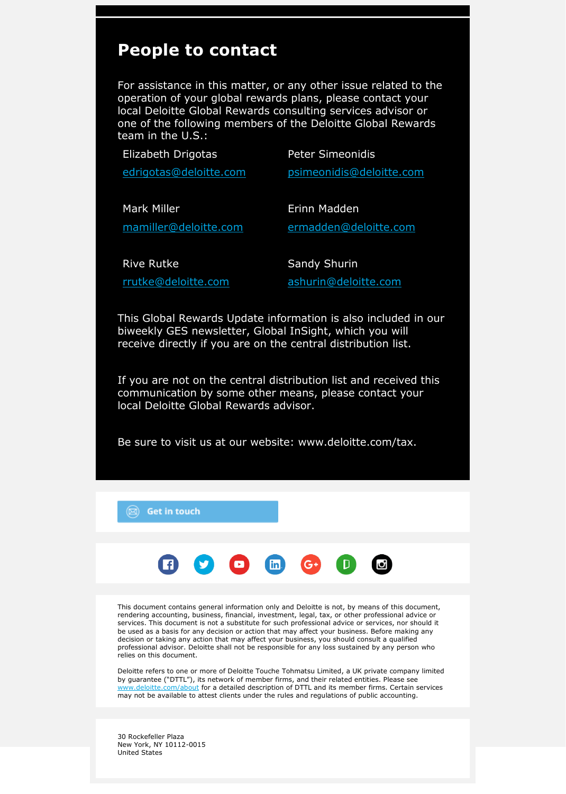## **People to contact**

For assistance in this matter, or any other issue related to the operation of your global rewards plans, please contact your local Deloitte Global Rewards consulting services advisor or one of the following members of the Deloitte Global Rewards team in the U.S.:

| Elizabeth Drigotas     | <b>Peter Simeonidis</b>  |
|------------------------|--------------------------|
| edrigotas@deloitte.com | psimeonidis@deloitte.com |
|                        |                          |
| <b>Mark Miller</b>     | Erinn Madden             |
| mamiller@deloitte.com  | ermadden@deloitte.com    |
|                        |                          |
| <b>Rive Rutke</b>      | Sandy Shurin             |
| rrutke@deloitte.com    | ashurin@deloitte.com     |

This Global Rewards Update information is also included in our biweekly GES newsletter, Global InSight, which you will receive directly if you are on the central distribution list.

If you are not on the central distribution list and received this communication by some other means, please contact your local Deloitte Global Rewards advisor.

Be sure to visit us at our website: www.deloitte.com/tax.



30 Rockefeller Plaza New York, NY 10112-0015 United States